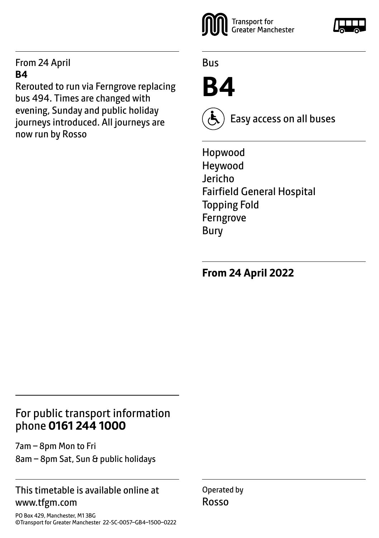#### From 24 April **B4**

Rerouted to run via Ferngrove replacing bus 494. Times are changed with evening, Sunday and public holiday journeys introduced. All journeys are now run by Rosso



Bus

## **B4**



Easy access on all buses

Hopwood Heywood Jericho Fairfield General Hospital Topping Fold Ferngrove Bury

**From 24 April 2022**

## For public transport information phone **0161 244 1000**

7am – 8pm Mon to Fri 8am – 8pm Sat, Sun & public holidays

#### This timetable is available online at www.tfgm.com

PO Box 429, Manchester, M1 3BG ©Transport for Greater Manchester 22-SC-0057–GB4–1500–0222 Operated by Rosso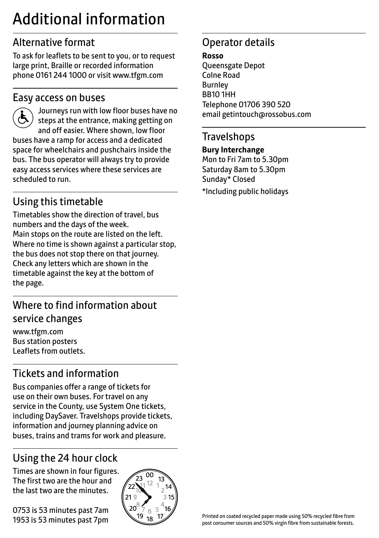## Additional information

## Alternative format

To ask for leaflets to be sent to you, or to request large print, Braille or recorded information phone 0161 244 1000 or visit www.tfgm.com

#### Easy access on buses



 Journeys run with low floor buses have no steps at the entrance, making getting on and off easier. Where shown, low floor buses have a ramp for access and a dedicated space for wheelchairs and pushchairs inside the bus. The bus operator will always try to provide easy access services where these services are scheduled to run.

## Using this timetable

Timetables show the direction of travel, bus numbers and the days of the week. Main stops on the route are listed on the left. Where no time is shown against a particular stop, the bus does not stop there on that journey. Check any letters which are shown in the timetable against the key at the bottom of the page.

## Where to find information about service changes

www.tfgm.com Bus station posters Leaflets from outlets.

## Tickets and information

Bus companies offer a range of tickets for use on their own buses. For travel on any service in the County, use System One tickets, including DaySaver. Travelshops provide tickets, information and journey planning advice on buses, trains and trams for work and pleasure.

## Using the 24 hour clock

Times are shown in four figures. The first two are the hour and the last two are the minutes.

0753 is 53 minutes past 7am 1953 is 53 minutes past 7pm



## Operator details

**Rosso**

Queensgate Depot Colne Road Burnley BB10 1HH Telephone 01706 390 520 email getintouch@rossobus.com

#### **Travelshops**

**Bury Interchange**

Mon to Fri 7am to 5.30pm Saturday 8am to 5.30pm Sunday\* Closed \*Including public holidays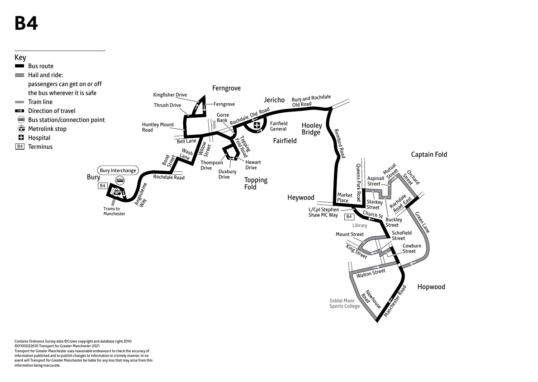# **B4**



Contains Ordnance Survey data ©Crown copyright and database right 2010 ©0100022610 Transport for Greater Manchester 2021 Transport for Greater Manchester uses reasonable endeavours to check the accuracy of information published and to publish changes to information in a timely manner. In no event will Transport for Greater Manchester be liable for any loss that may arise from this information being inaccurate.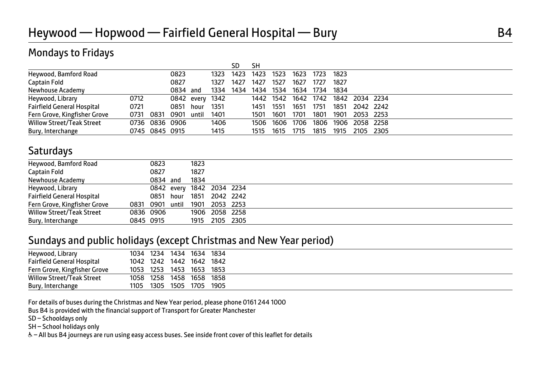### Mondays to Fridays

|                                   |      |                |          |                 |      | SD   | SН   |           |                                    |      |        |           |  |  |
|-----------------------------------|------|----------------|----------|-----------------|------|------|------|-----------|------------------------------------|------|--------|-----------|--|--|
| Heywood, Bamford Road             |      |                | 0823     |                 | 1323 | 1423 | 1423 | 1523      | 1623                               | 1723 | 1823   |           |  |  |
| Captain Fold                      |      |                | 0827     |                 | 1327 | 1427 | 1427 | 1527      | 1627                               | 1727 | 1827   |           |  |  |
| Newhouse Academy                  |      |                | 0834 and |                 | 1334 | 1434 | 1434 | 1534      | 1634                               | 1734 | - 1834 |           |  |  |
| Heywood, Library                  | 0712 |                |          | 0842 every 1342 |      |      |      |           | 1442 1542 1642 1742 1842 2034 2234 |      |        |           |  |  |
| <b>Fairfield General Hospital</b> | 0721 |                | 0851     | hour            | 1351 |      | 1451 | - 1551    | 1651                               | 1751 | 1851   | 2042 2242 |  |  |
| Fern Grove, Kingfisher Grove      | 0731 | 0831           | 0901     | until           | 1401 |      | 1501 | 1601      | 1701                               | 1801 | 1901   | 2053 2253 |  |  |
| <b>Willow Street/Teak Street</b>  |      | 0736 0836 0906 |          |                 | 1406 |      |      | 1506 1606 | 1706                               | 1806 | 1906   | 2058 2258 |  |  |
| Bury, Interchange                 |      | 0745 0845 0915 |          |                 | 1415 |      | 1515 | 1615      | 1715                               | 1815 | 1915   | 2105 2305 |  |  |

### **Saturdays**

| Heywood, Bamford Road        | 0823                           | 1823 |                           |  |
|------------------------------|--------------------------------|------|---------------------------|--|
| Captain Fold                 | 0827                           | 1827 |                           |  |
| Newhouse Academy             | 0834 and                       | 1834 |                           |  |
| Heywood, Library             |                                |      | 0842 every 1842 2034 2234 |  |
| Fairfield General Hospital   |                                |      | 0851 hour 1851 2042 2242  |  |
| Fern Grove, Kingfisher Grove | 0831 0901 until 1901 2053 2253 |      |                           |  |
| Willow Street/Teak Street    | 0836 0906                      |      | 1906 2058 2258            |  |
| Bury, Interchange            | 0845 0915                      |      | 1915 2105 2305            |  |
|                              |                                |      |                           |  |

#### Sundays and public holidays (except Christmas and New Year period)

| Heywood, Library                 |      | 1034 1234 | 1434 1634                |      | 1834 |
|----------------------------------|------|-----------|--------------------------|------|------|
| Fairfield General Hospital       |      |           | 1042 1242 1442 1642 1842 |      |      |
| Fern Grove, Kingfisher Grove     |      | 1053 1253 | 1453 1653 1853           |      |      |
| <b>Willow Street/Teak Street</b> |      | 1058 1258 | 1458 1658 1858           |      |      |
| Bury, Interchange                | 1105 | 1305      | 1505                     | 1705 | 1905 |

For details of buses during the Christmas and New Year period, please phone 0161 244 1000

Bus B4 is provided with the financial support of Transport for Greater Manchester

SD – Schooldays only

SH – School holidays only

& - All bus B4 journeys are run using easy access buses. See inside front cover of this leaflet for details